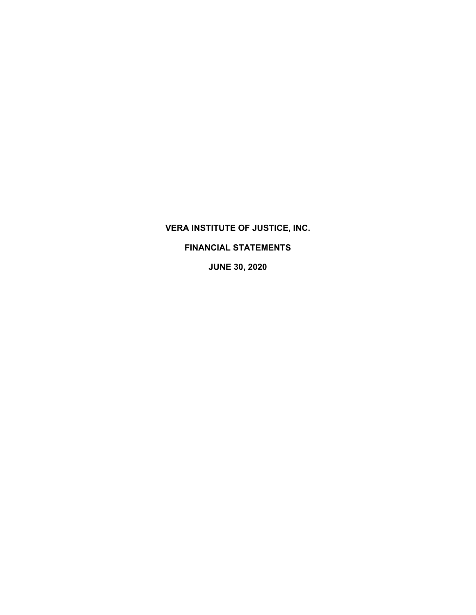# **VERA INSTITUTE OF JUSTICE, INC.**

# **FINANCIAL STATEMENTS**

**JUNE 30, 2020**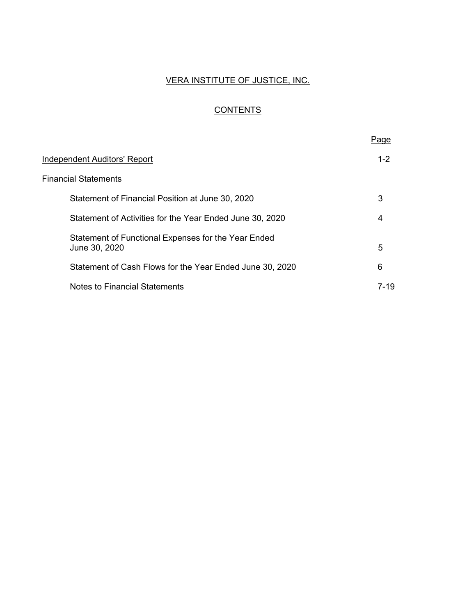# VERA INSTITUTE OF JUSTICE, INC.

# **CONTENTS**

|                                                                      | Page     |
|----------------------------------------------------------------------|----------|
| Independent Auditors' Report                                         | $1 - 2$  |
| <b>Financial Statements</b>                                          |          |
| Statement of Financial Position at June 30, 2020                     | 3        |
| Statement of Activities for the Year Ended June 30, 2020             | 4        |
| Statement of Functional Expenses for the Year Ended<br>June 30, 2020 | 5        |
| Statement of Cash Flows for the Year Ended June 30, 2020             | 6        |
| Notes to Financial Statements                                        | $7 - 19$ |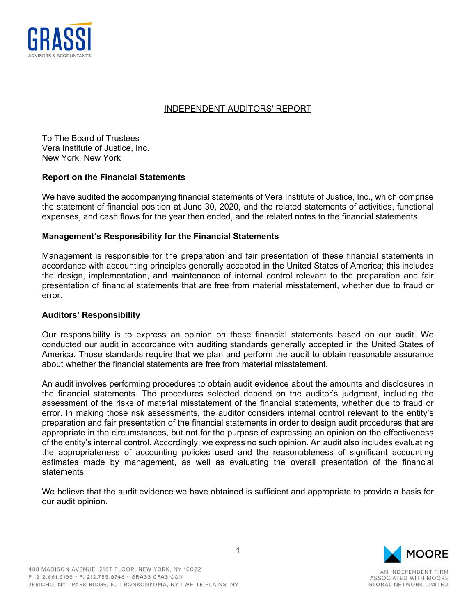

# INDEPENDENT AUDITORS' REPORT

To The Board of Trustees Vera Institute of Justice, Inc. New York, New York

# **Report on the Financial Statements**

We have audited the accompanying financial statements of Vera Institute of Justice, Inc., which comprise the statement of financial position at June 30, 2020, and the related statements of activities, functional expenses, and cash flows for the year then ended, and the related notes to the financial statements.

# **Management's Responsibility for the Financial Statements**

Management is responsible for the preparation and fair presentation of these financial statements in accordance with accounting principles generally accepted in the United States of America; this includes the design, implementation, and maintenance of internal control relevant to the preparation and fair presentation of financial statements that are free from material misstatement, whether due to fraud or error.

# **Auditors' Responsibility**

Our responsibility is to express an opinion on these financial statements based on our audit. We conducted our audit in accordance with auditing standards generally accepted in the United States of America. Those standards require that we plan and perform the audit to obtain reasonable assurance about whether the financial statements are free from material misstatement.

An audit involves performing procedures to obtain audit evidence about the amounts and disclosures in the financial statements. The procedures selected depend on the auditor's judgment, including the assessment of the risks of material misstatement of the financial statements, whether due to fraud or error. In making those risk assessments, the auditor considers internal control relevant to the entity's preparation and fair presentation of the financial statements in order to design audit procedures that are appropriate in the circumstances, but not for the purpose of expressing an opinion on the effectiveness of the entity's internal control. Accordingly, we express no such opinion. An audit also includes evaluating the appropriateness of accounting policies used and the reasonableness of significant accounting estimates made by management, as well as evaluating the overall presentation of the financial statements.

We believe that the audit evidence we have obtained is sufficient and appropriate to provide a basis for our audit opinion.

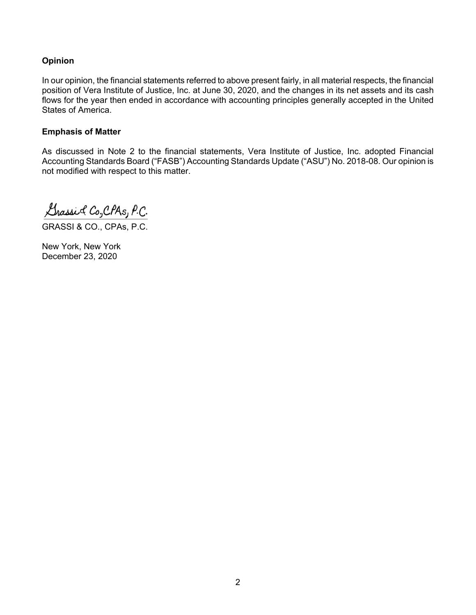# **Opinion**

In our opinion, the financial statements referred to above present fairly, in all material respects, the financial position of Vera Institute of Justice, Inc. at June 30, 2020, and the changes in its net assets and its cash flows for the year then ended in accordance with accounting principles generally accepted in the United States of America.

# **Emphasis of Matter**

As discussed in Note 2 to the financial statements, Vera Institute of Justice, Inc. adopted Financial Accounting Standards Board ("FASB") Accounting Standards Update ("ASU") No. 2018-08. Our opinion is not modified with respect to this matter.

Grassic Co, CPAs, P.C.

GRASSI & CO., CPAs, P.C.

New York, New York December 23, 2020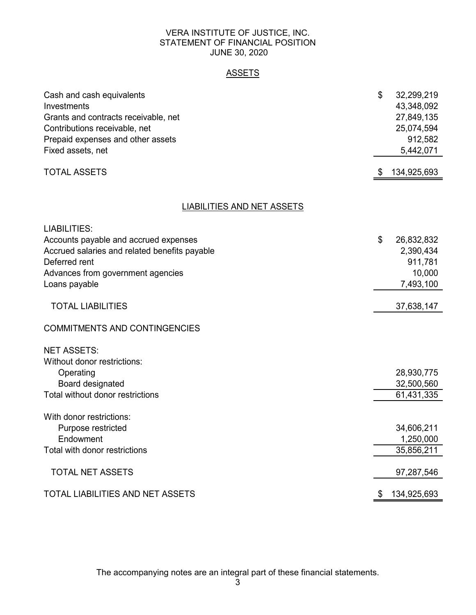# VERA INSTITUTE OF JUSTICE, INC. STATEMENT OF FINANCIAL POSITION JUNE 30, 2020

# ASSETS

| Cash and cash equivalents<br>Investments      | \$<br>32,299,219<br>43,348,092 |
|-----------------------------------------------|--------------------------------|
| Grants and contracts receivable, net          | 27,849,135                     |
| Contributions receivable, net                 | 25,074,594                     |
| Prepaid expenses and other assets             | 912,582                        |
| Fixed assets, net                             | 5,442,071                      |
| <b>TOTAL ASSETS</b>                           | \$<br>134,925,693              |
|                                               |                                |
| <u>LIABILITIES AND NET ASSETS</u>             |                                |
| <b>LIABILITIES:</b>                           |                                |
| Accounts payable and accrued expenses         | \$<br>26,832,832               |
| Accrued salaries and related benefits payable | 2,390,434                      |
| Deferred rent                                 | 911,781                        |
| Advances from government agencies             | 10,000                         |
| Loans payable                                 | 7,493,100                      |
| <b>TOTAL LIABILITIES</b>                      | 37,638,147                     |
| <b>COMMITMENTS AND CONTINGENCIES</b>          |                                |
| <b>NET ASSETS:</b>                            |                                |
| Without donor restrictions:                   |                                |
| Operating                                     | 28,930,775                     |
| Board designated                              | 32,500,560                     |
| Total without donor restrictions              | 61,431,335                     |
| With donor restrictions:                      |                                |
| Purpose restricted                            | 34,606,211                     |
| Endowment                                     | 1,250,000                      |
| Total with donor restrictions                 | 35,856,211                     |
|                                               |                                |
| <b>TOTAL NET ASSETS</b>                       | 97,287,546                     |
| TOTAL LIABILITIES AND NET ASSETS              | \$<br>134,925,693              |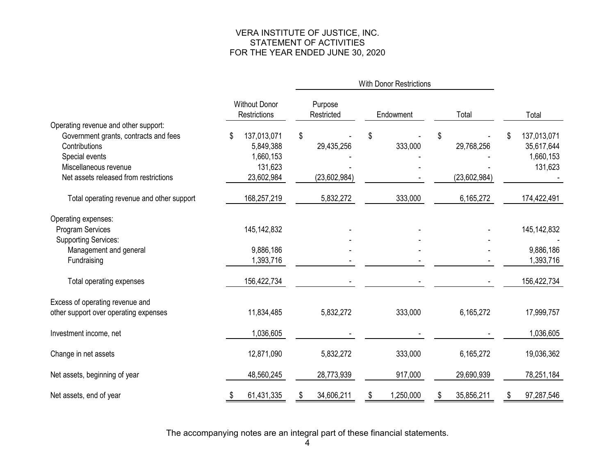# VERA INSTITUTE OF JUSTICE, INC. STATEMENT OF ACTIVITIES FOR THE YEAR ENDED JUNE 30, 2020

|                                           |                                             |                       | <b>With Donor Restrictions</b> |                  |                   |
|-------------------------------------------|---------------------------------------------|-----------------------|--------------------------------|------------------|-------------------|
|                                           | <b>Without Donor</b><br><b>Restrictions</b> | Purpose<br>Restricted | Endowment                      | Total            | Total             |
| Operating revenue and other support:      |                                             |                       |                                |                  |                   |
| Government grants, contracts and fees     | 137,013,071                                 | \$                    | \$                             | \$               | 137,013,071<br>\$ |
| Contributions                             | 5,849,388                                   | 29,435,256            | 333,000                        | 29,768,256       | 35,617,644        |
| Special events<br>Miscellaneous revenue   | 1,660,153                                   |                       |                                |                  | 1,660,153         |
| Net assets released from restrictions     | 131,623<br>23,602,984                       | (23,602,984)          |                                | (23,602,984)     | 131,623           |
|                                           |                                             |                       |                                |                  |                   |
| Total operating revenue and other support | 168,257,219                                 | 5,832,272             | 333,000                        | 6,165,272        | 174,422,491       |
| Operating expenses:                       |                                             |                       |                                |                  |                   |
| <b>Program Services</b>                   | 145, 142, 832                               |                       |                                |                  | 145, 142, 832     |
| <b>Supporting Services:</b>               |                                             |                       |                                |                  |                   |
| Management and general                    | 9,886,186                                   |                       |                                |                  | 9,886,186         |
| Fundraising                               | 1,393,716                                   |                       |                                |                  | 1,393,716         |
| Total operating expenses                  | 156,422,734                                 |                       |                                |                  | 156,422,734       |
| Excess of operating revenue and           |                                             |                       |                                |                  |                   |
| other support over operating expenses     | 11,834,485                                  | 5,832,272             | 333,000                        | 6,165,272        | 17,999,757        |
|                                           |                                             |                       |                                |                  |                   |
| Investment income, net                    | 1,036,605                                   |                       |                                |                  | 1,036,605         |
| Change in net assets                      | 12,871,090                                  | 5,832,272             | 333,000                        | 6,165,272        | 19,036,362        |
| Net assets, beginning of year             | 48,560,245                                  | 28,773,939            | 917,000                        | 29,690,939       | 78,251,184        |
| Net assets, end of year                   | 61,431,335<br>\$                            | 34,606,211<br>S       | 1,250,000<br>S                 | 35,856,211<br>S. | 97,287,546<br>\$  |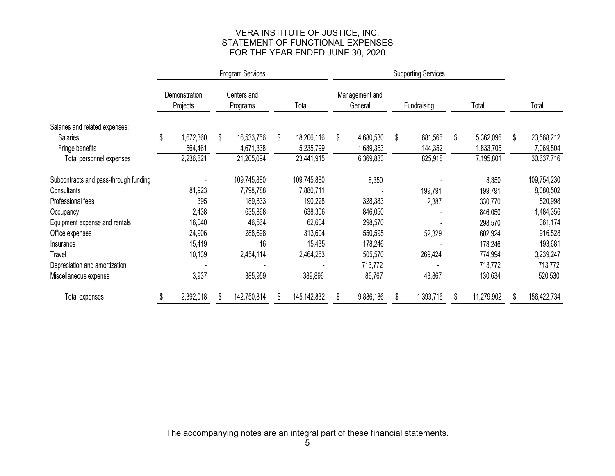# VERA INSTITUTE OF JUSTICE, INC. STATEMENT OF FUNCTIONAL EXPENSESFOR THE YEAR ENDED JUNE 30, 2020

|                                       | Program Services |                                                      |  |             |    |                           |    | <b>Supporting Services</b> |    |           |    |            |    |             |
|---------------------------------------|------------------|------------------------------------------------------|--|-------------|----|---------------------------|----|----------------------------|----|-----------|----|------------|----|-------------|
|                                       |                  | Demonstration<br>Centers and<br>Projects<br>Programs |  | Total       |    | Management and<br>General |    | Fundraising                |    | Total     |    | Total      |    |             |
| Salaries and related expenses:        |                  |                                                      |  |             |    |                           |    |                            |    |           |    |            |    |             |
| <b>Salaries</b>                       | \$               | 1,672,360                                            |  | 16,533,756  | \$ | 18,206,116                | \$ | 4,680,530                  | \$ | 681,566   | \$ | 5,362,096  | \$ | 23,568,212  |
| Fringe benefits                       |                  | 564,461                                              |  | 4,671,338   |    | 5,235,799                 |    | 1,689,353                  |    | 144,352   |    | 1,833,705  |    | 7,069,504   |
| Total personnel expenses              |                  | 2,236,821                                            |  | 21,205,094  |    | 23,441,915                |    | 6,369,883                  |    | 825,918   |    | 7,195,801  |    | 30,637,716  |
| Subcontracts and pass-through funding |                  |                                                      |  | 109,745,880 |    | 109,745,880               |    | 8,350                      |    |           |    | 8,350      |    | 109,754,230 |
| Consultants                           |                  | 81,923                                               |  | 7,798,788   |    | 7,880,711                 |    |                            |    | 199,791   |    | 199,791    |    | 8,080,502   |
| Professional fees                     |                  | 395                                                  |  | 189,833     |    | 190,228                   |    | 328,383                    |    | 2,387     |    | 330,770    |    | 520,998     |
| Occupancy                             |                  | 2,438                                                |  | 635,868     |    | 638,306                   |    | 846,050                    |    |           |    | 846,050    |    | 1,484,356   |
| Equipment expense and rentals         |                  | 16,040                                               |  | 46,564      |    | 62,604                    |    | 298,570                    |    |           |    | 298,570    |    | 361,174     |
| Office expenses                       |                  | 24,906                                               |  | 288,698     |    | 313,604                   |    | 550,595                    |    | 52,329    |    | 602,924    |    | 916,528     |
| Insurance                             |                  | 15,419                                               |  | 16          |    | 15,435                    |    | 178,246                    |    |           |    | 178,246    |    | 193,681     |
| <b>Travel</b>                         |                  | 10,139                                               |  | 2,454,114   |    | 2,464,253                 |    | 505,570                    |    | 269,424   |    | 774,994    |    | 3,239,247   |
| Depreciation and amortization         |                  |                                                      |  |             |    |                           |    | 713,772                    |    |           |    | 713,772    |    | 713,772     |
| Miscellaneous expense                 |                  | 3,937                                                |  | 385,959     |    | 389,896                   |    | 86,767                     |    | 43,867    |    | 130,634    |    | 520,530     |
| Total expenses                        |                  | 2,392,018                                            |  | 142,750,814 | æ. | 145, 142, 832             |    | 9,886,186                  |    | 1,393,716 |    | 11,279,902 | S. | 156,422,734 |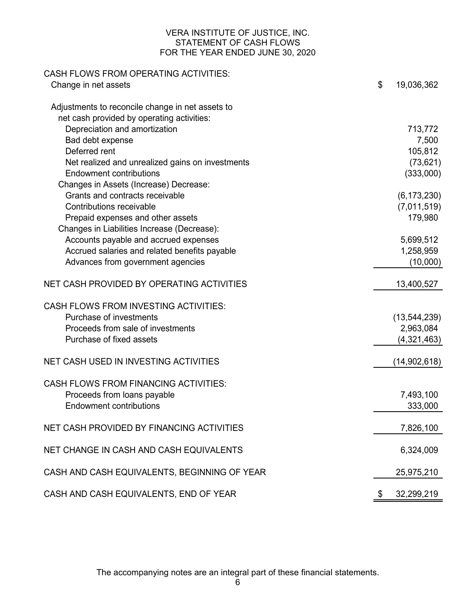# VERA INSTITUTE OF JUSTICE, INC. STATEMENT OF CASH FLOWS FOR THE YEAR ENDED JUNE 30, 2020

| \$<br>Change in net assets                                                                     | 19,036,362     |
|------------------------------------------------------------------------------------------------|----------------|
|                                                                                                |                |
| Adjustments to reconcile change in net assets to<br>net cash provided by operating activities: |                |
| Depreciation and amortization                                                                  | 713,772        |
| Bad debt expense                                                                               | 7,500          |
| Deferred rent                                                                                  | 105,812        |
| Net realized and unrealized gains on investments                                               | (73, 621)      |
| <b>Endowment contributions</b>                                                                 | (333,000)      |
| Changes in Assets (Increase) Decrease:                                                         |                |
| Grants and contracts receivable                                                                | (6, 173, 230)  |
| Contributions receivable                                                                       | (7,011,519)    |
| Prepaid expenses and other assets                                                              | 179,980        |
| Changes in Liabilities Increase (Decrease):                                                    |                |
| Accounts payable and accrued expenses                                                          | 5,699,512      |
| Accrued salaries and related benefits payable                                                  | 1,258,959      |
| Advances from government agencies                                                              | (10,000)       |
| NET CASH PROVIDED BY OPERATING ACTIVITIES                                                      | 13,400,527     |
| <b>CASH FLOWS FROM INVESTING ACTIVITIES:</b>                                                   |                |
| Purchase of investments                                                                        | (13, 544, 239) |
| Proceeds from sale of investments                                                              | 2,963,084      |
| Purchase of fixed assets                                                                       | (4,321,463)    |
| NET CASH USED IN INVESTING ACTIVITIES                                                          | (14,902,618)   |
| <b>CASH FLOWS FROM FINANCING ACTIVITIES:</b>                                                   |                |
| Proceeds from loans payable                                                                    | 7,493,100      |
| <b>Endowment contributions</b>                                                                 | 333,000        |
|                                                                                                |                |
| NET CASH PROVIDED BY FINANCING ACTIVITIES                                                      | 7,826,100      |
| NET CHANGE IN CASH AND CASH EQUIVALENTS                                                        | 6,324,009      |
| CASH AND CASH EQUIVALENTS, BEGINNING OF YEAR                                                   | 25,975,210     |
| CASH AND CASH EQUIVALENTS, END OF YEAR<br>\$                                                   | 32,299,219     |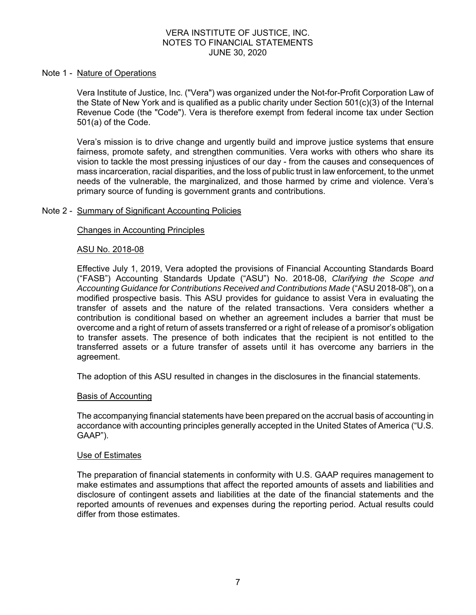#### Note 1 - Nature of Operations

Vera Institute of Justice, Inc. ("Vera") was organized under the Not-for-Profit Corporation Law of the State of New York and is qualified as a public charity under Section 501(c)(3) of the Internal Revenue Code (the "Code"). Vera is therefore exempt from federal income tax under Section 501(a) of the Code.

Vera's mission is to drive change and urgently build and improve justice systems that ensure fairness, promote safety, and strengthen communities. Vera works with others who share its vision to tackle the most pressing injustices of our day - from the causes and consequences of mass incarceration, racial disparities, and the loss of public trust in law enforcement, to the unmet needs of the vulnerable, the marginalized, and those harmed by crime and violence. Vera's primary source of funding is government grants and contributions.

# Note 2 - Summary of Significant Accounting Policies

#### Changes in Accounting Principles

#### ASU No. 2018-08

Effective July 1, 2019, Vera adopted the provisions of Financial Accounting Standards Board ("FASB") Accounting Standards Update ("ASU") No. 2018-08, *Clarifying the Scope and*  Accounting Guidance for Contributions Received and Contributions Made ("ASU 2018-08"), on a modified prospective basis. This ASU provides for guidance to assist Vera in evaluating the transfer of assets and the nature of the related transactions. Vera considers whether a contribution is conditional based on whether an agreement includes a barrier that must be overcome and a right of return of assets transferred or a right of release of a promisor's obligation to transfer assets. The presence of both indicates that the recipient is not entitled to the transferred assets or a future transfer of assets until it has overcome any barriers in the agreement.

The adoption of this ASU resulted in changes in the disclosures in the financial statements.

#### Basis of Accounting

The accompanying financial statements have been prepared on the accrual basis of accounting in accordance with accounting principles generally accepted in the United States of America ("U.S. GAAP").

#### Use of Estimates

The preparation of financial statements in conformity with U.S. GAAP requires management to make estimates and assumptions that affect the reported amounts of assets and liabilities and disclosure of contingent assets and liabilities at the date of the financial statements and the reported amounts of revenues and expenses during the reporting period. Actual results could differ from those estimates.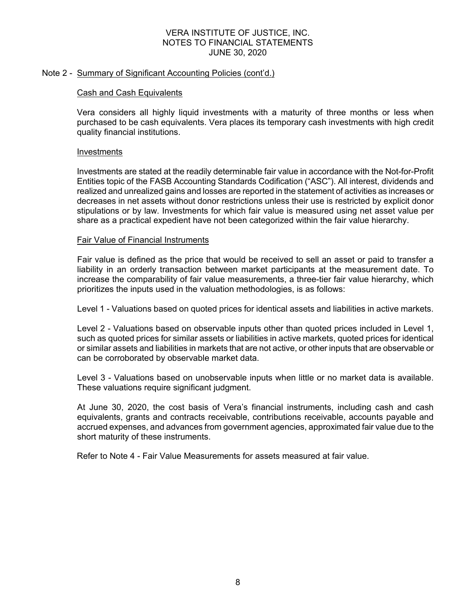# Note 2 - Summary of Significant Accounting Policies (cont'd.)

# Cash and Cash Equivalents

Vera considers all highly liquid investments with a maturity of three months or less when purchased to be cash equivalents. Vera places its temporary cash investments with high credit quality financial institutions.

# Investments

Investments are stated at the readily determinable fair value in accordance with the Not-for-Profit Entities topic of the FASB Accounting Standards Codification ("ASC"). All interest, dividends and realized and unrealized gains and losses are reported in the statement of activities as increases or decreases in net assets without donor restrictions unless their use is restricted by explicit donor stipulations or by law. Investments for which fair value is measured using net asset value per share as a practical expedient have not been categorized within the fair value hierarchy.

# Fair Value of Financial Instruments

Fair value is defined as the price that would be received to sell an asset or paid to transfer a liability in an orderly transaction between market participants at the measurement date. To increase the comparability of fair value measurements, a three-tier fair value hierarchy, which prioritizes the inputs used in the valuation methodologies, is as follows:

Level 1 - Valuations based on quoted prices for identical assets and liabilities in active markets.

Level 2 - Valuations based on observable inputs other than quoted prices included in Level 1, such as quoted prices for similar assets or liabilities in active markets, quoted prices for identical or similar assets and liabilities in markets that are not active, or other inputs that are observable or can be corroborated by observable market data.

Level 3 - Valuations based on unobservable inputs when little or no market data is available. These valuations require significant judgment.

At June 30, 2020, the cost basis of Vera's financial instruments, including cash and cash equivalents, grants and contracts receivable, contributions receivable, accounts payable and accrued expenses, and advances from government agencies, approximated fair value due to the short maturity of these instruments.

Refer to Note 4 - Fair Value Measurements for assets measured at fair value.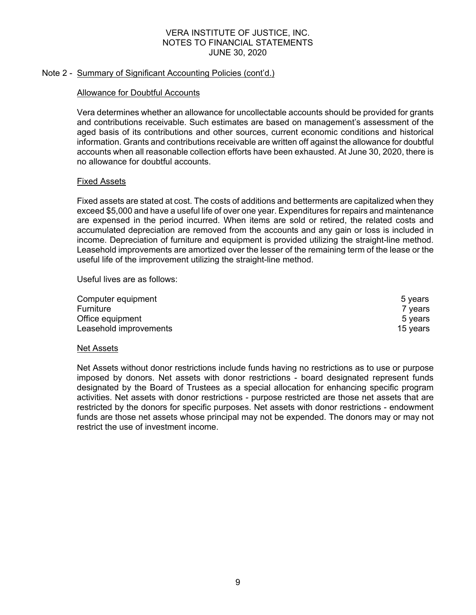# Note 2 - Summary of Significant Accounting Policies (cont'd.)

# Allowance for Doubtful Accounts

Vera determines whether an allowance for uncollectable accounts should be provided for grants and contributions receivable. Such estimates are based on management's assessment of the aged basis of its contributions and other sources, current economic conditions and historical information. Grants and contributions receivable are written off against the allowance for doubtful accounts when all reasonable collection efforts have been exhausted. At June 30, 2020, there is no allowance for doubtful accounts.

# Fixed Assets

Fixed assets are stated at cost. The costs of additions and betterments are capitalized when they exceed \$5,000 and have a useful life of over one year. Expenditures for repairs and maintenance are expensed in the period incurred. When items are sold or retired, the related costs and accumulated depreciation are removed from the accounts and any gain or loss is included in income. Depreciation of furniture and equipment is provided utilizing the straight-line method. Leasehold improvements are amortized over the lesser of the remaining term of the lease or the useful life of the improvement utilizing the straight-line method.

Useful lives are as follows:

| Computer equipment     | 5 vears  |
|------------------------|----------|
| Furniture              | 7 years  |
| Office equipment       | 5 vears  |
| Leasehold improvements | 15 vears |

# Net Assets

Net Assets without donor restrictions include funds having no restrictions as to use or purpose imposed by donors. Net assets with donor restrictions - board designated represent funds designated by the Board of Trustees as a special allocation for enhancing specific program activities. Net assets with donor restrictions - purpose restricted are those net assets that are restricted by the donors for specific purposes. Net assets with donor restrictions - endowment funds are those net assets whose principal may not be expended. The donors may or may not restrict the use of investment income.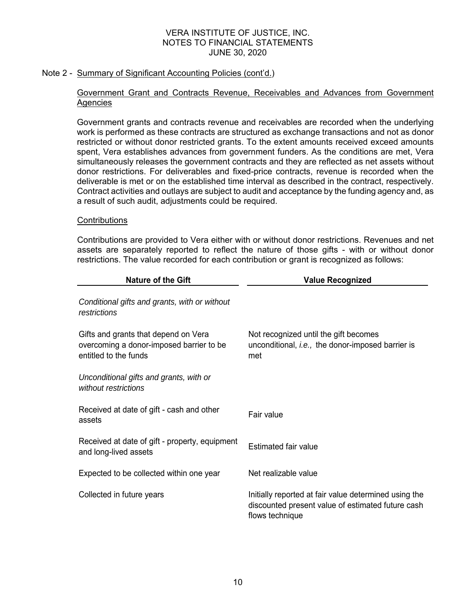# Note 2 - Summary of Significant Accounting Policies (cont'd.)

# Government Grant and Contracts Revenue, Receivables and Advances from Government **Agencies**

Government grants and contracts revenue and receivables are recorded when the underlying work is performed as these contracts are structured as exchange transactions and not as donor restricted or without donor restricted grants. To the extent amounts received exceed amounts spent, Vera establishes advances from government funders. As the conditions are met, Vera simultaneously releases the government contracts and they are reflected as net assets without donor restrictions. For deliverables and fixed-price contracts, revenue is recorded when the deliverable is met or on the established time interval as described in the contract, respectively. Contract activities and outlays are subject to audit and acceptance by the funding agency and, as a result of such audit, adjustments could be required.

# **Contributions**

Contributions are provided to Vera either with or without donor restrictions. Revenues and net assets are separately reported to reflect the nature of those gifts - with or without donor restrictions. The value recorded for each contribution or grant is recognized as follows:

| <b>Nature of the Gift</b>                                                                                 | <b>Value Recognized</b>                                                                                                       |  |  |  |  |  |
|-----------------------------------------------------------------------------------------------------------|-------------------------------------------------------------------------------------------------------------------------------|--|--|--|--|--|
| Conditional gifts and grants, with or without<br>restrictions                                             |                                                                                                                               |  |  |  |  |  |
| Gifts and grants that depend on Vera<br>overcoming a donor-imposed barrier to be<br>entitled to the funds | Not recognized until the gift becomes<br>unconditional, i.e., the donor-imposed barrier is<br>met                             |  |  |  |  |  |
| Unconditional gifts and grants, with or<br>without restrictions                                           |                                                                                                                               |  |  |  |  |  |
| Received at date of gift - cash and other<br>assets                                                       | Fair value                                                                                                                    |  |  |  |  |  |
| Received at date of gift - property, equipment<br>and long-lived assets                                   | <b>Estimated fair value</b>                                                                                                   |  |  |  |  |  |
| Expected to be collected within one year                                                                  | Net realizable value                                                                                                          |  |  |  |  |  |
| Collected in future years                                                                                 | Initially reported at fair value determined using the<br>discounted present value of estimated future cash<br>flows technique |  |  |  |  |  |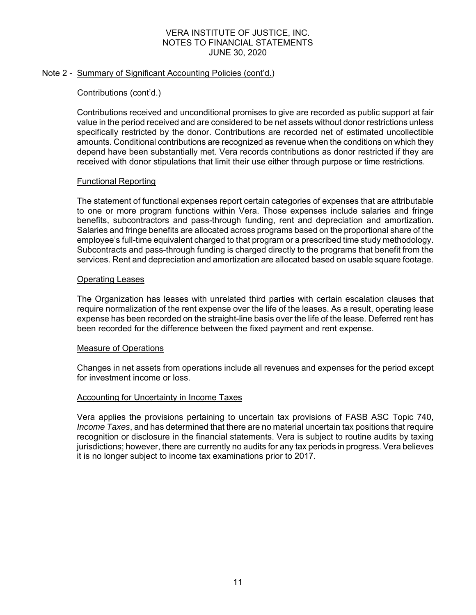# Note 2 - Summary of Significant Accounting Policies (cont'd.)

# Contributions (cont'd.)

Contributions received and unconditional promises to give are recorded as public support at fair value in the period received and are considered to be net assets without donor restrictions unless specifically restricted by the donor. Contributions are recorded net of estimated uncollectible amounts. Conditional contributions are recognized as revenue when the conditions on which they depend have been substantially met. Vera records contributions as donor restricted if they are received with donor stipulations that limit their use either through purpose or time restrictions.

# Functional Reporting

The statement of functional expenses report certain categories of expenses that are attributable to one or more program functions within Vera. Those expenses include salaries and fringe benefits, subcontractors and pass-through funding, rent and depreciation and amortization. Salaries and fringe benefits are allocated across programs based on the proportional share of the employee's full-time equivalent charged to that program or a prescribed time study methodology. Subcontracts and pass-through funding is charged directly to the programs that benefit from the services. Rent and depreciation and amortization are allocated based on usable square footage.

# Operating Leases

The Organization has leases with unrelated third parties with certain escalation clauses that require normalization of the rent expense over the life of the leases. As a result, operating lease expense has been recorded on the straight-line basis over the life of the lease. Deferred rent has been recorded for the difference between the fixed payment and rent expense.

# Measure of Operations

Changes in net assets from operations include all revenues and expenses for the period except for investment income or loss.

# Accounting for Uncertainty in Income Taxes

Vera applies the provisions pertaining to uncertain tax provisions of FASB ASC Topic 740, *Income Taxes*, and has determined that there are no material uncertain tax positions that require recognition or disclosure in the financial statements. Vera is subject to routine audits by taxing jurisdictions; however, there are currently no audits for any tax periods in progress. Vera believes it is no longer subject to income tax examinations prior to 2017.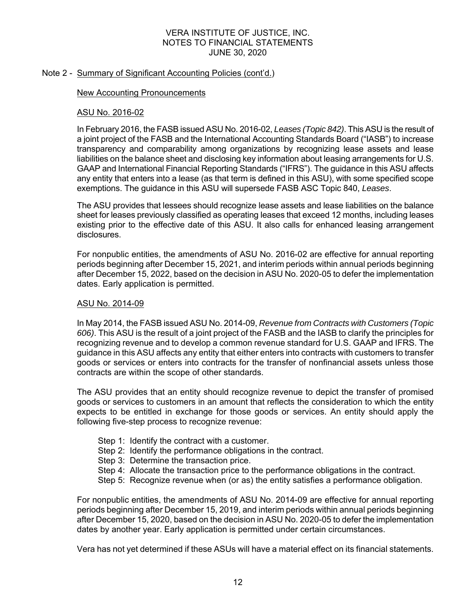# Note 2 - Summary of Significant Accounting Policies (cont'd.)

# New Accounting Pronouncements

# ASU No. 2016-02

In February 2016, the FASB issued ASU No. 2016-02, *Leases (Topic 842)*. This ASU is the result of a joint project of the FASB and the International Accounting Standards Board ("IASB") to increase transparency and comparability among organizations by recognizing lease assets and lease liabilities on the balance sheet and disclosing key information about leasing arrangements for U.S. GAAP and International Financial Reporting Standards ("IFRS"). The guidance in this ASU affects any entity that enters into a lease (as that term is defined in this ASU), with some specified scope exemptions. The guidance in this ASU will supersede FASB ASC Topic 840, *Leases*.

The ASU provides that lessees should recognize lease assets and lease liabilities on the balance sheet for leases previously classified as operating leases that exceed 12 months, including leases existing prior to the effective date of this ASU. It also calls for enhanced leasing arrangement disclosures.

For nonpublic entities, the amendments of ASU No. 2016-02 are effective for annual reporting periods beginning after December 15, 2021, and interim periods within annual periods beginning after December 15, 2022, based on the decision in ASU No. 2020-05 to defer the implementation dates. Early application is permitted.

# ASU No. 2014-09

In May 2014, the FASB issued ASU No. 2014-09, *Revenue from Contracts with Customers (Topic 606)*. This ASU is the result of a joint project of the FASB and the IASB to clarify the principles for recognizing revenue and to develop a common revenue standard for U.S. GAAP and IFRS. The guidance in this ASU affects any entity that either enters into contracts with customers to transfer goods or services or enters into contracts for the transfer of nonfinancial assets unless those contracts are within the scope of other standards.

The ASU provides that an entity should recognize revenue to depict the transfer of promised goods or services to customers in an amount that reflects the consideration to which the entity expects to be entitled in exchange for those goods or services. An entity should apply the following five-step process to recognize revenue:

- Step 1: Identify the contract with a customer.
- Step 2: Identify the performance obligations in the contract.
- Step 3: Determine the transaction price.
- Step 4: Allocate the transaction price to the performance obligations in the contract.
- Step 5: Recognize revenue when (or as) the entity satisfies a performance obligation.

For nonpublic entities, the amendments of ASU No. 2014-09 are effective for annual reporting periods beginning after December 15, 2019, and interim periods within annual periods beginning after December 15, 2020, based on the decision in ASU No. 2020-05 to defer the implementation dates by another year. Early application is permitted under certain circumstances.

Vera has not yet determined if these ASUs will have a material effect on its financial statements.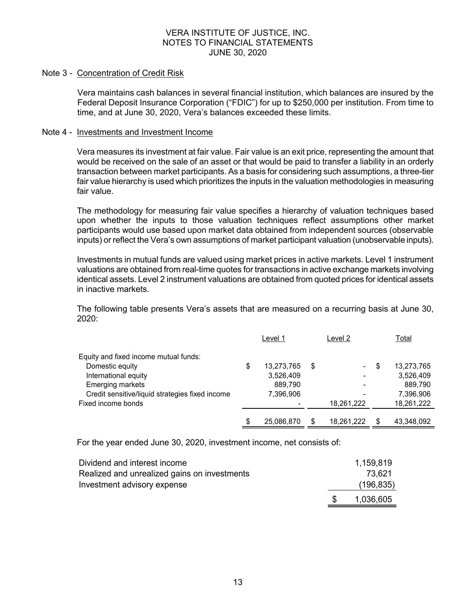#### Note 3 - Concentration of Credit Risk

Vera maintains cash balances in several financial institution, which balances are insured by the Federal Deposit Insurance Corporation ("FDIC") for up to \$250,000 per institution. From time to time, and at June 30, 2020, Vera's balances exceeded these limits.

#### Note 4 - Investments and Investment Income

Vera measures its investment at fair value. Fair value is an exit price, representing the amount that would be received on the sale of an asset or that would be paid to transfer a liability in an orderly transaction between market participants. As a basis for considering such assumptions, a three-tier fair value hierarchy is used which prioritizes the inputs in the valuation methodologies in measuring fair value.

The methodology for measuring fair value specifies a hierarchy of valuation techniques based upon whether the inputs to those valuation techniques reflect assumptions other market participants would use based upon market data obtained from independent sources (observable inputs) or reflect the Vera's own assumptions of market participant valuation (unobservable inputs).

Investments in mutual funds are valued using market prices in active markets. Level 1 instrument valuations are obtained from real-time quotes for transactions in active exchange markets involving identical assets. Level 2 instrument valuations are obtained from quoted prices for identical assets in inactive markets.

The following table presents Vera's assets that are measured on a recurring basis at June 30,  $2020 -$ 

|                                                 | Level 1          |   | Level 2    |   | Total      |
|-------------------------------------------------|------------------|---|------------|---|------------|
| Equity and fixed income mutual funds:           |                  |   |            |   |            |
| Domestic equity                                 | \$<br>13,273,765 | S |            | S | 13,273,765 |
| International equity                            | 3,526,409        |   |            |   | 3,526,409  |
| <b>Emerging markets</b>                         | 889,790          |   |            |   | 889.790    |
| Credit sensitive/liquid strategies fixed income | 7,396,906        |   |            |   | 7,396,906  |
| Fixed income bonds                              |                  |   | 18,261,222 |   | 18,261,222 |
|                                                 | \$<br>25.086.870 |   | 18,261,222 |   | 43,348,092 |

For the year ended June 30, 2020, investment income, net consists of:

| Dividend and interest income                 | 1,159,819  |
|----------------------------------------------|------------|
| Realized and unrealized gains on investments | 73.621     |
| Investment advisory expense                  | (196, 835) |
|                                              | 1,036,605  |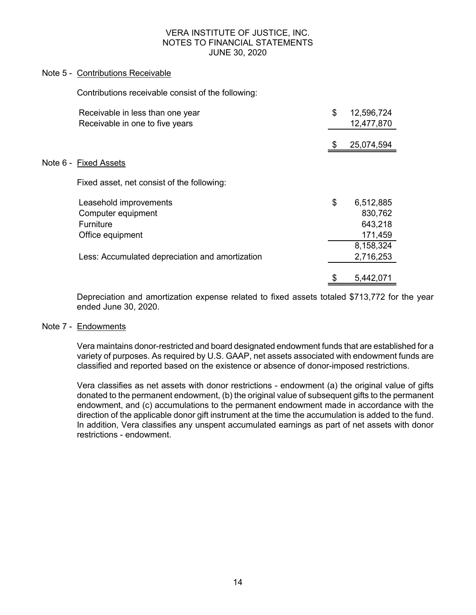# Note 5 - Contributions Receivable

Contributions receivable consist of the following:

| Receivable in less than one year                | \$<br>12,596,724 |
|-------------------------------------------------|------------------|
| Receivable in one to five years                 | 12,477,870       |
|                                                 | 25,074,594       |
| Note 6 - Fixed Assets                           |                  |
| Fixed asset, net consist of the following:      |                  |
| Leasehold improvements                          | \$<br>6,512,885  |
| Computer equipment                              | 830,762          |
| <b>Furniture</b>                                | 643,218          |
| Office equipment                                | 171,459          |
|                                                 | 8,158,324        |
| Less: Accumulated depreciation and amortization | 2,716,253        |
|                                                 | \$<br>5,442,071  |

Depreciation and amortization expense related to fixed assets totaled \$713,772 for the year ended June 30, 2020.

# Note 7 - Endowments

Vera maintains donor-restricted and board designated endowment funds that are established for a variety of purposes. As required by U.S. GAAP, net assets associated with endowment funds are classified and reported based on the existence or absence of donor-imposed restrictions.

Vera classifies as net assets with donor restrictions - endowment (a) the original value of gifts donated to the permanent endowment, (b) the original value of subsequent gifts to the permanent endowment, and (c) accumulations to the permanent endowment made in accordance with the direction of the applicable donor gift instrument at the time the accumulation is added to the fund. In addition, Vera classifies any unspent accumulated earnings as part of net assets with donor restrictions - endowment.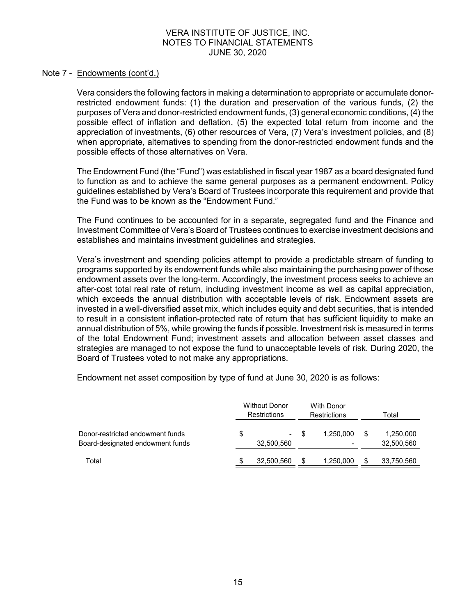#### Note 7 - Endowments (cont'd.)

Vera considers the following factors in making a determination to appropriate or accumulate donorrestricted endowment funds: (1) the duration and preservation of the various funds, (2) the purposes of Vera and donor-restricted endowment funds, (3) general economic conditions, (4) the possible effect of inflation and deflation, (5) the expected total return from income and the appreciation of investments, (6) other resources of Vera, (7) Vera's investment policies, and (8) when appropriate, alternatives to spending from the donor-restricted endowment funds and the possible effects of those alternatives on Vera.

The Endowment Fund (the "Fund") was established in fiscal year 1987 as a board designated fund to function as and to achieve the same general purposes as a permanent endowment. Policy guidelines established by Vera's Board of Trustees incorporate this requirement and provide that the Fund was to be known as the "Endowment Fund."

The Fund continues to be accounted for in a separate, segregated fund and the Finance and Investment Committee of Vera's Board of Trustees continues to exercise investment decisions and establishes and maintains investment guidelines and strategies.

Vera's investment and spending policies attempt to provide a predictable stream of funding to programs supported by its endowment funds while also maintaining the purchasing power of those endowment assets over the long-term. Accordingly, the investment process seeks to achieve an after-cost total real rate of return, including investment income as well as capital appreciation, which exceeds the annual distribution with acceptable levels of risk. Endowment assets are invested in a well-diversified asset mix, which includes equity and debt securities, that is intended to result in a consistent inflation-protected rate of return that has sufficient liquidity to make an annual distribution of 5%, while growing the funds if possible. Investment risk is measured in terms of the total Endowment Fund; investment assets and allocation between asset classes and strategies are managed to not expose the fund to unacceptable levels of risk. During 2020, the Board of Trustees voted to not make any appropriations.

Endowment net asset composition by type of fund at June 30, 2020 is as follows:

|                                                                      | <b>Without Donor</b><br><b>Restrictions</b> |                  |      | With Donor<br>Restrictions | Total |                         |  |
|----------------------------------------------------------------------|---------------------------------------------|------------------|------|----------------------------|-------|-------------------------|--|
| Donor-restricted endowment funds<br>Board-designated endowment funds | \$                                          | ۰.<br>32,500,560 | - \$ | 1.250.000                  |       | 1,250,000<br>32,500,560 |  |
| Total                                                                |                                             | 32,500,560       |      | 1,250,000                  |       | 33,750,560              |  |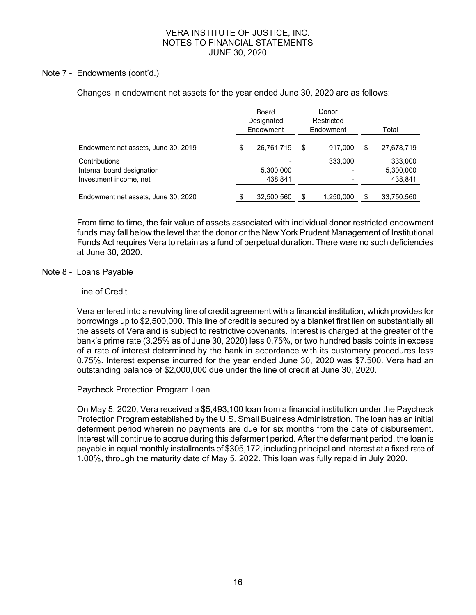# Note 7 - Endowments (cont'd.)

Changes in endowment net assets for the year ended June 30, 2020 are as follows:

|                                                                       | Board<br>Designated<br>Endowment |   | Donor<br>Restricted<br>Endowment | Total                           |
|-----------------------------------------------------------------------|----------------------------------|---|----------------------------------|---------------------------------|
| Endowment net assets, June 30, 2019                                   | \$<br>26,761,719                 | S | 917.000                          | \$<br>27,678,719                |
| Contributions<br>Internal board designation<br>Investment income, net | 5,300,000<br>438.841             |   | 333,000                          | 333,000<br>5,300,000<br>438,841 |
| Endowment net assets, June 30, 2020                                   | 32,500,560                       |   | 1,250,000                        | 33,750,560                      |

From time to time, the fair value of assets associated with individual donor restricted endowment funds may fall below the level that the donor or the New York Prudent Management of Institutional Funds Act requires Vera to retain as a fund of perpetual duration. There were no such deficiencies at June 30, 2020.

# Note 8 - Loans Payable

# Line of Credit

Vera entered into a revolving line of credit agreement with a financial institution, which provides for borrowings up to \$2,500,000. This line of credit is secured by a blanket first lien on substantially all the assets of Vera and is subject to restrictive covenants. Interest is charged at the greater of the bank's prime rate (3.25% as of June 30, 2020) less 0.75%, or two hundred basis points in excess of a rate of interest determined by the bank in accordance with its customary procedures less 0.75%. Interest expense incurred for the year ended June 30, 2020 was \$7,500. Vera had an outstanding balance of \$2,000,000 due under the line of credit at June 30, 2020.

# Paycheck Protection Program Loan

On May 5, 2020, Vera received a \$5,493,100 loan from a financial institution under the Paycheck Protection Program established by the U.S. Small Business Administration. The loan has an initial deferment period wherein no payments are due for six months from the date of disbursement. Interest will continue to accrue during this deferment period. After the deferment period, the loan is payable in equal monthly installments of \$305,172, including principal and interest at a fixed rate of 1.00%, through the maturity date of May 5, 2022. This loan was fully repaid in July 2020.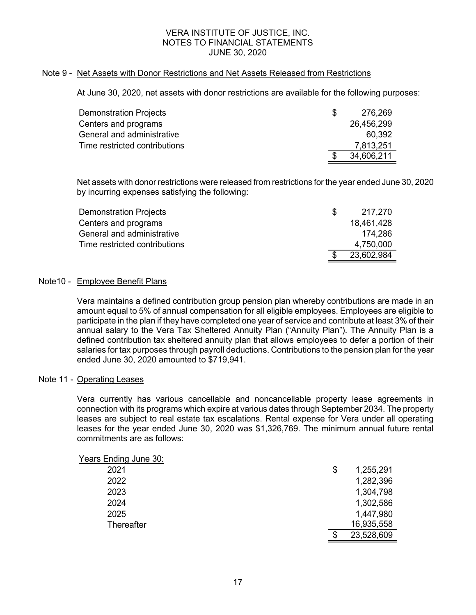# Note 9 - Net Assets with Donor Restrictions and Net Assets Released from Restrictions

At June 30, 2020, net assets with donor restrictions are available for the following purposes:

| Demonstration Projects        | \$. | 276,269    |
|-------------------------------|-----|------------|
| Centers and programs          |     | 26,456,299 |
| General and administrative    |     | 60.392     |
| Time restricted contributions |     | 7,813,251  |
|                               | \$. | 34,606,211 |

Net assets with donor restrictions were released from restrictions for the year ended June 30, 2020 by incurring expenses satisfying the following:

| Demonstration Projects        | -SS | 217.270    |
|-------------------------------|-----|------------|
| Centers and programs          |     | 18,461,428 |
| General and administrative    |     | 174.286    |
| Time restricted contributions |     | 4.750.000  |
|                               | -\$ | 23,602,984 |

# Note10 - Employee Benefit Plans

Vera maintains a defined contribution group pension plan whereby contributions are made in an amount equal to 5% of annual compensation for all eligible employees. Employees are eligible to participate in the plan if they have completed one year of service and contribute at least 3% of their annual salary to the Vera Tax Sheltered Annuity Plan ("Annuity Plan"). The Annuity Plan is a defined contribution tax sheltered annuity plan that allows employees to defer a portion of their salaries for tax purposes through payroll deductions. Contributions to the pension plan for the year ended June 30, 2020 amounted to \$719,941.

# Note 11 - Operating Leases

Vera currently has various cancellable and noncancellable property lease agreements in connection with its programs which expire at various dates through September 2034. The property leases are subject to real estate tax escalations. Rental expense for Vera under all operating leases for the year ended June 30, 2020 was \$1,326,769. The minimum annual future rental commitments are as follows:

| Years Ending June 30: |                 |
|-----------------------|-----------------|
| 2021                  | \$<br>1,255,291 |
| 2022                  | 1,282,396       |
| 2023                  | 1,304,798       |
| 2024                  | 1,302,586       |
| 2025                  | 1,447,980       |
| Thereafter            | 16,935,558      |
|                       | 23,528,609      |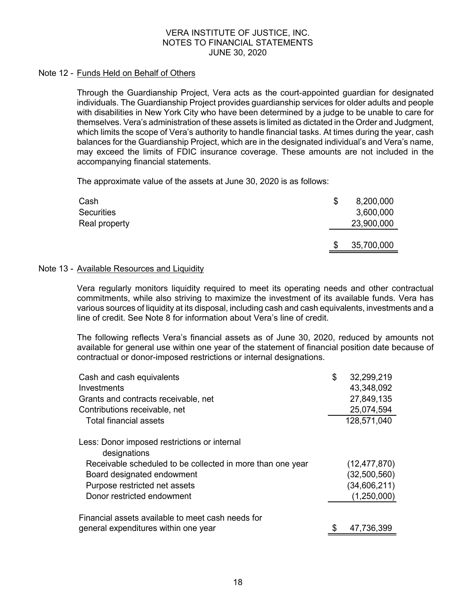# Note 12 - Funds Held on Behalf of Others

Through the Guardianship Project, Vera acts as the court-appointed guardian for designated individuals. The Guardianship Project provides guardianship services for older adults and people with disabilities in New York City who have been determined by a judge to be unable to care for themselves. Vera's administration of these assets is limited as dictated in the Order and Judgment, which limits the scope of Vera's authority to handle financial tasks. At times during the year, cash balances for the Guardianship Project, which are in the designated individual's and Vera's name, may exceed the limits of FDIC insurance coverage. These amounts are not included in the accompanying financial statements.

The approximate value of the assets at June 30, 2020 is as follows:

| Cash<br>Securities<br>Real property | \$<br>8,200,000<br>3,600,000<br>23,900,000 |
|-------------------------------------|--------------------------------------------|
|                                     | \$<br>35,700,000                           |

# Note 13 - Available Resources and Liquidity

Vera regularly monitors liquidity required to meet its operating needs and other contractual commitments, while also striving to maximize the investment of its available funds. Vera has various sources of liquidity at its disposal, including cash and cash equivalents, investments and a line of credit. See Note 8 for information about Vera's line of credit.

The following reflects Vera's financial assets as of June 30, 2020, reduced by amounts not available for general use within one year of the statement of financial position date because of contractual or donor-imposed restrictions or internal designations.

| Cash and cash equivalents                                    | \$<br>32,299,219 |
|--------------------------------------------------------------|------------------|
| Investments                                                  | 43,348,092       |
| Grants and contracts receivable, net                         | 27,849,135       |
| Contributions receivable, net                                | 25,074,594       |
| <b>Total financial assets</b>                                | 128,571,040      |
| Less: Donor imposed restrictions or internal<br>designations |                  |
| Receivable scheduled to be collected in more than one year   | (12, 477, 870)   |
| Board designated endowment                                   | (32,500,560)     |
| Purpose restricted net assets                                | (34,606,211)     |
| Donor restricted endowment                                   | (1,250,000)      |
| Financial assets available to meet cash needs for            |                  |
| general expenditures within one year                         | \$<br>47,736,399 |